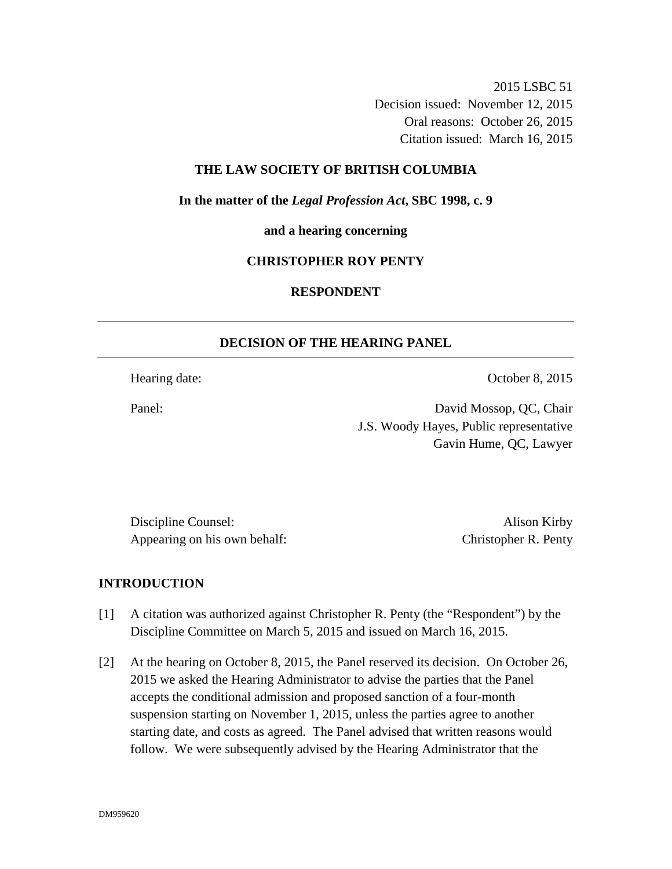2015 LSBC 51 Decision issued: November 12, 2015 Oral reasons: October 26, 2015 Citation issued: March 16, 2015

### **THE LAW SOCIETY OF BRITISH COLUMBIA**

**In the matter of the** *Legal Profession Act***, SBC 1998, c. 9** 

**and a hearing concerning** 

#### **CHRISTOPHER ROY PENTY**

## **RESPONDENT**

### **DECISION OF THE HEARING PANEL**

Hearing date: October 8, 2015

Panel: David Mossop, QC, Chair J.S. Woody Hayes, Public representative Gavin Hume, QC, Lawyer

Discipline Counsel: Alison Kirby Appearing on his own behalf: Christopher R. Penty

### **INTRODUCTION**

- [1] A citation was authorized against Christopher R. Penty (the "Respondent") by the Discipline Committee on March 5, 2015 and issued on March 16, 2015.
- [2] At the hearing on October 8, 2015, the Panel reserved its decision. On October 26, 2015 we asked the Hearing Administrator to advise the parties that the Panel accepts the conditional admission and proposed sanction of a four-month suspension starting on November 1, 2015, unless the parties agree to another starting date, and costs as agreed. The Panel advised that written reasons would follow. We were subsequently advised by the Hearing Administrator that the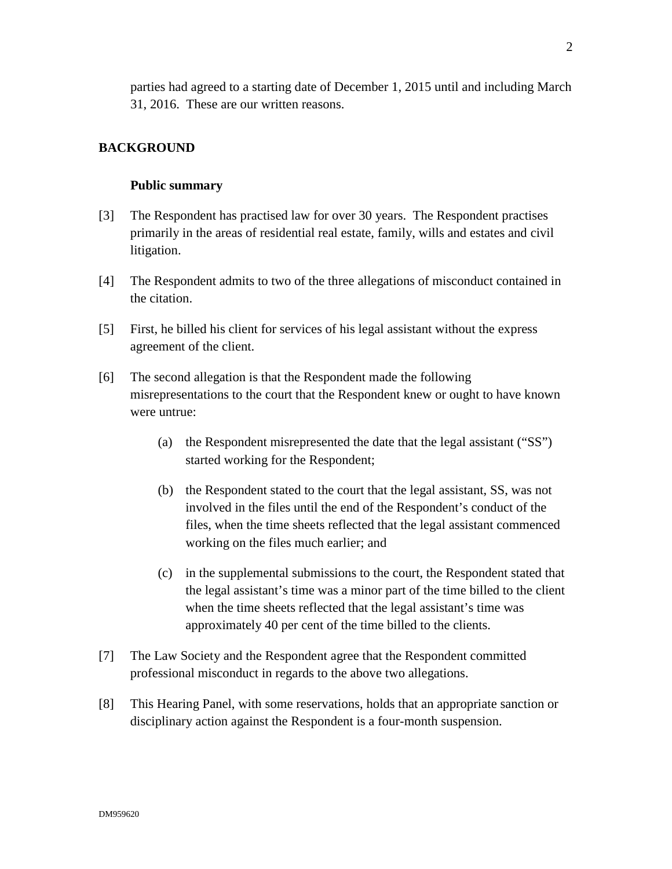parties had agreed to a starting date of December 1, 2015 until and including March 31, 2016. These are our written reasons.

## **BACKGROUND**

#### **Public summary**

- [3] The Respondent has practised law for over 30 years. The Respondent practises primarily in the areas of residential real estate, family, wills and estates and civil litigation.
- [4] The Respondent admits to two of the three allegations of misconduct contained in the citation.
- [5] First, he billed his client for services of his legal assistant without the express agreement of the client.
- [6] The second allegation is that the Respondent made the following misrepresentations to the court that the Respondent knew or ought to have known were untrue:
	- (a) the Respondent misrepresented the date that the legal assistant ("SS") started working for the Respondent;
	- (b) the Respondent stated to the court that the legal assistant, SS, was not involved in the files until the end of the Respondent's conduct of the files, when the time sheets reflected that the legal assistant commenced working on the files much earlier; and
	- (c) in the supplemental submissions to the court, the Respondent stated that the legal assistant's time was a minor part of the time billed to the client when the time sheets reflected that the legal assistant's time was approximately 40 per cent of the time billed to the clients.
- [7] The Law Society and the Respondent agree that the Respondent committed professional misconduct in regards to the above two allegations.
- [8] This Hearing Panel, with some reservations, holds that an appropriate sanction or disciplinary action against the Respondent is a four-month suspension.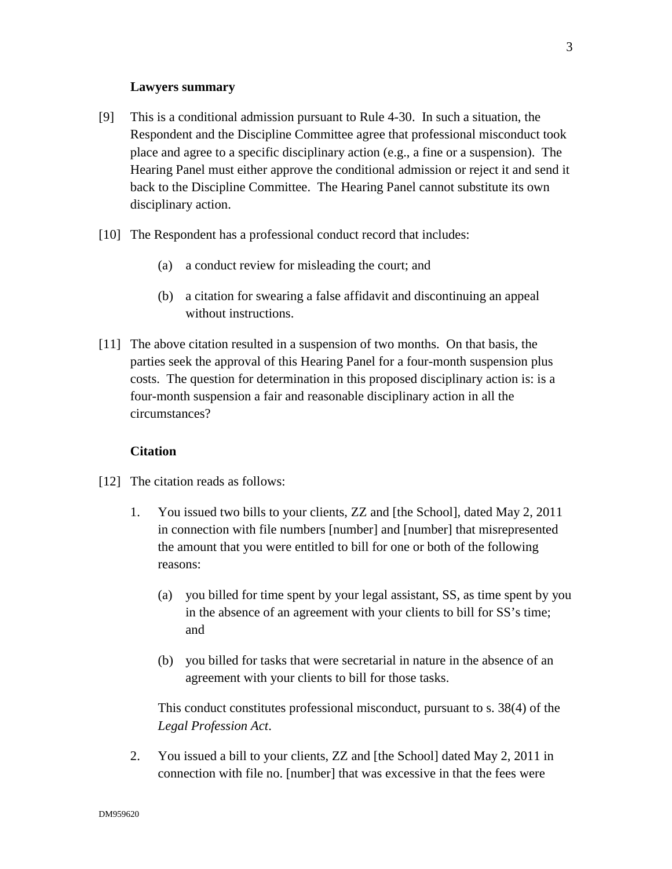### **Lawyers summary**

- [9] This is a conditional admission pursuant to Rule 4-30. In such a situation, the Respondent and the Discipline Committee agree that professional misconduct took place and agree to a specific disciplinary action (e.g., a fine or a suspension). The Hearing Panel must either approve the conditional admission or reject it and send it back to the Discipline Committee. The Hearing Panel cannot substitute its own disciplinary action.
- [10] The Respondent has a professional conduct record that includes:
	- (a) a conduct review for misleading the court; and
	- (b) a citation for swearing a false affidavit and discontinuing an appeal without instructions.
- [11] The above citation resulted in a suspension of two months. On that basis, the parties seek the approval of this Hearing Panel for a four-month suspension plus costs. The question for determination in this proposed disciplinary action is: is a four-month suspension a fair and reasonable disciplinary action in all the circumstances?

### **Citation**

- [12] The citation reads as follows:
	- 1. You issued two bills to your clients, ZZ and [the School], dated May 2, 2011 in connection with file numbers [number] and [number] that misrepresented the amount that you were entitled to bill for one or both of the following reasons:
		- (a) you billed for time spent by your legal assistant, SS, as time spent by you in the absence of an agreement with your clients to bill for SS's time; and
		- (b) you billed for tasks that were secretarial in nature in the absence of an agreement with your clients to bill for those tasks.

This conduct constitutes professional misconduct, pursuant to s. 38(4) of the *Legal Profession Act*.

2. You issued a bill to your clients, ZZ and [the School] dated May 2, 2011 in connection with file no. [number] that was excessive in that the fees were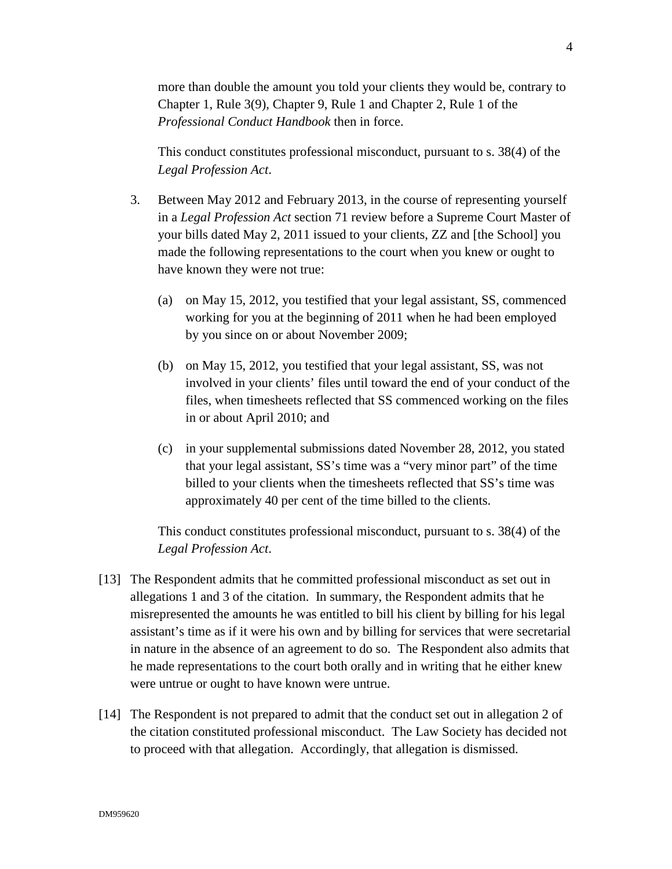more than double the amount you told your clients they would be, contrary to Chapter 1, Rule 3(9), Chapter 9, Rule 1 and Chapter 2, Rule 1 of the *Professional Conduct Handbook* then in force.

This conduct constitutes professional misconduct, pursuant to s. 38(4) of the *Legal Profession Act*.

- 3. Between May 2012 and February 2013, in the course of representing yourself in a *Legal Profession Act* section 71 review before a Supreme Court Master of your bills dated May 2, 2011 issued to your clients, ZZ and [the School] you made the following representations to the court when you knew or ought to have known they were not true:
	- (a) on May 15, 2012, you testified that your legal assistant, SS, commenced working for you at the beginning of 2011 when he had been employed by you since on or about November 2009;
	- (b) on May 15, 2012, you testified that your legal assistant, SS, was not involved in your clients' files until toward the end of your conduct of the files, when timesheets reflected that SS commenced working on the files in or about April 2010; and
	- (c) in your supplemental submissions dated November 28, 2012, you stated that your legal assistant, SS's time was a "very minor part" of the time billed to your clients when the timesheets reflected that SS's time was approximately 40 per cent of the time billed to the clients.

This conduct constitutes professional misconduct, pursuant to s. 38(4) of the *Legal Profession Act*.

- [13] The Respondent admits that he committed professional misconduct as set out in allegations 1 and 3 of the citation. In summary, the Respondent admits that he misrepresented the amounts he was entitled to bill his client by billing for his legal assistant's time as if it were his own and by billing for services that were secretarial in nature in the absence of an agreement to do so. The Respondent also admits that he made representations to the court both orally and in writing that he either knew were untrue or ought to have known were untrue.
- [14] The Respondent is not prepared to admit that the conduct set out in allegation 2 of the citation constituted professional misconduct. The Law Society has decided not to proceed with that allegation. Accordingly, that allegation is dismissed.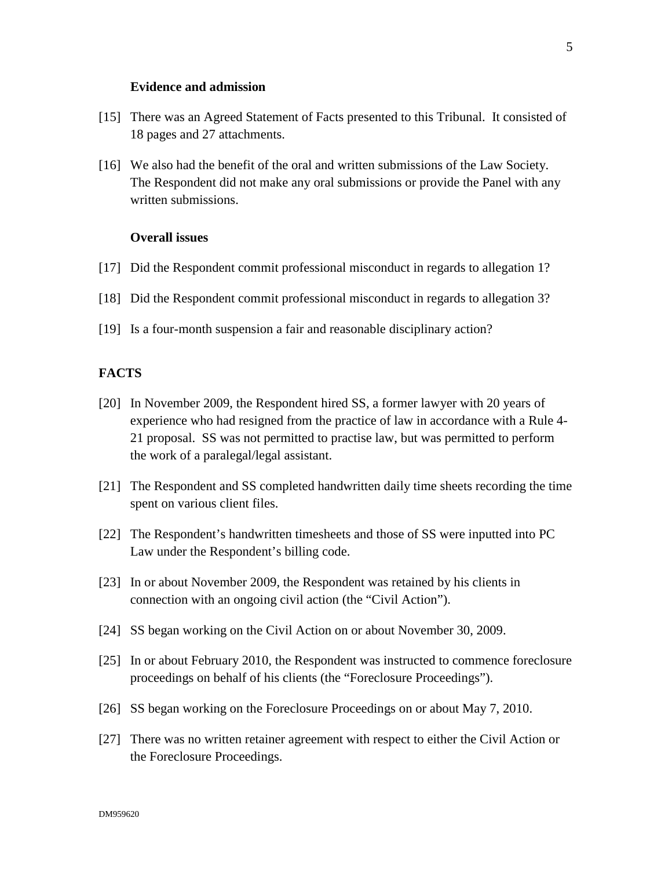### **Evidence and admission**

- [15] There was an Agreed Statement of Facts presented to this Tribunal. It consisted of 18 pages and 27 attachments.
- [16] We also had the benefit of the oral and written submissions of the Law Society. The Respondent did not make any oral submissions or provide the Panel with any written submissions.

## **Overall issues**

- [17] Did the Respondent commit professional misconduct in regards to allegation 1?
- [18] Did the Respondent commit professional misconduct in regards to allegation 3?
- [19] Is a four-month suspension a fair and reasonable disciplinary action?

### **FACTS**

- [20] In November 2009, the Respondent hired SS, a former lawyer with 20 years of experience who had resigned from the practice of law in accordance with a Rule 4- 21 proposal. SS was not permitted to practise law, but was permitted to perform the work of a paralegal/legal assistant.
- [21] The Respondent and SS completed handwritten daily time sheets recording the time spent on various client files.
- [22] The Respondent's handwritten timesheets and those of SS were inputted into PC Law under the Respondent's billing code.
- [23] In or about November 2009, the Respondent was retained by his clients in connection with an ongoing civil action (the "Civil Action").
- [24] SS began working on the Civil Action on or about November 30, 2009.
- [25] In or about February 2010, the Respondent was instructed to commence foreclosure proceedings on behalf of his clients (the "Foreclosure Proceedings").
- [26] SS began working on the Foreclosure Proceedings on or about May 7, 2010.
- [27] There was no written retainer agreement with respect to either the Civil Action or the Foreclosure Proceedings.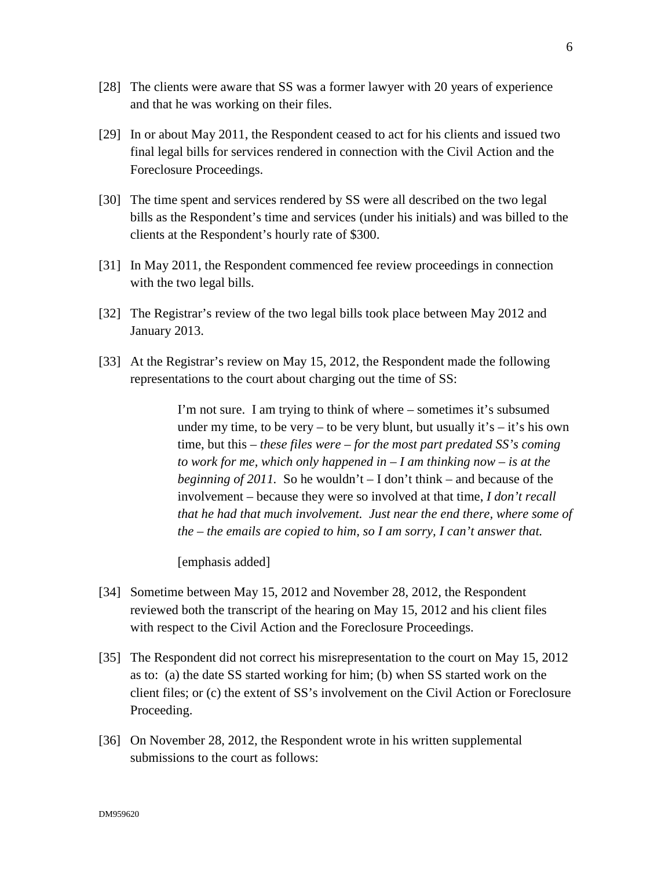- [28] The clients were aware that SS was a former lawyer with 20 years of experience and that he was working on their files.
- [29] In or about May 2011, the Respondent ceased to act for his clients and issued two final legal bills for services rendered in connection with the Civil Action and the Foreclosure Proceedings.
- [30] The time spent and services rendered by SS were all described on the two legal bills as the Respondent's time and services (under his initials) and was billed to the clients at the Respondent's hourly rate of \$300.
- [31] In May 2011, the Respondent commenced fee review proceedings in connection with the two legal bills.
- [32] The Registrar's review of the two legal bills took place between May 2012 and January 2013.
- [33] At the Registrar's review on May 15, 2012, the Respondent made the following representations to the court about charging out the time of SS:

I'm not sure. I am trying to think of where – sometimes it's subsumed under my time, to be very – to be very blunt, but usually it's – it's his own time, but this – *these files were – for the most part predated SS's coming to work for me, which only happened in – I am thinking now – is at the beginning of 2011.* So he wouldn't  $-I$  don't think – and because of the involvement – because they were so involved at that time, *I don't recall that he had that much involvement. Just near the end there, where some of the – the emails are copied to him, so I am sorry, I can't answer that.* 

[emphasis added]

- [34] Sometime between May 15, 2012 and November 28, 2012, the Respondent reviewed both the transcript of the hearing on May 15, 2012 and his client files with respect to the Civil Action and the Foreclosure Proceedings.
- [35] The Respondent did not correct his misrepresentation to the court on May 15, 2012 as to: (a) the date SS started working for him; (b) when SS started work on the client files; or (c) the extent of SS's involvement on the Civil Action or Foreclosure Proceeding.
- [36] On November 28, 2012, the Respondent wrote in his written supplemental submissions to the court as follows: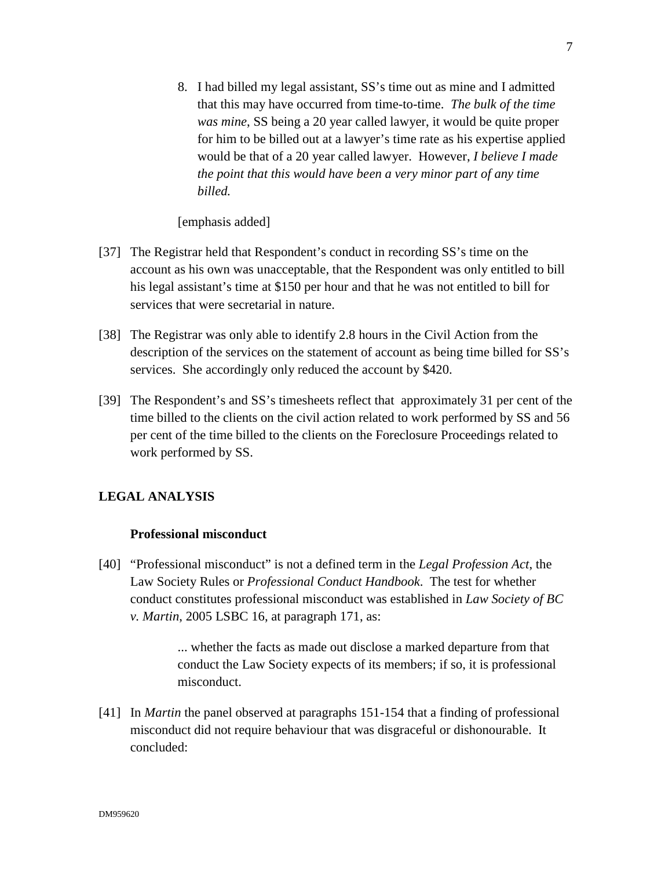8. I had billed my legal assistant, SS's time out as mine and I admitted that this may have occurred from time-to-time. *The bulk of the time was mine*, SS being a 20 year called lawyer, it would be quite proper for him to be billed out at a lawyer's time rate as his expertise applied would be that of a 20 year called lawyer. However, *I believe I made the point that this would have been a very minor part of any time billed.*

[emphasis added]

- [37] The Registrar held that Respondent's conduct in recording SS's time on the account as his own was unacceptable, that the Respondent was only entitled to bill his legal assistant's time at \$150 per hour and that he was not entitled to bill for services that were secretarial in nature.
- [38] The Registrar was only able to identify 2.8 hours in the Civil Action from the description of the services on the statement of account as being time billed for SS's services. She accordingly only reduced the account by \$420.
- [39] The Respondent's and SS's timesheets reflect that approximately 31 per cent of the time billed to the clients on the civil action related to work performed by SS and 56 per cent of the time billed to the clients on the Foreclosure Proceedings related to work performed by SS.

## **LEGAL ANALYSIS**

### **Professional misconduct**

[40] "Professional misconduct" is not a defined term in the *Legal Profession Act*, the Law Society Rules or *Professional Conduct Handbook*. The test for whether conduct constitutes professional misconduct was established in *Law Society of BC v. Martin*, 2005 LSBC 16, at paragraph 171, as:

> ... whether the facts as made out disclose a marked departure from that conduct the Law Society expects of its members; if so, it is professional misconduct.

[41] In *Martin* the panel observed at paragraphs 151-154 that a finding of professional misconduct did not require behaviour that was disgraceful or dishonourable. It concluded: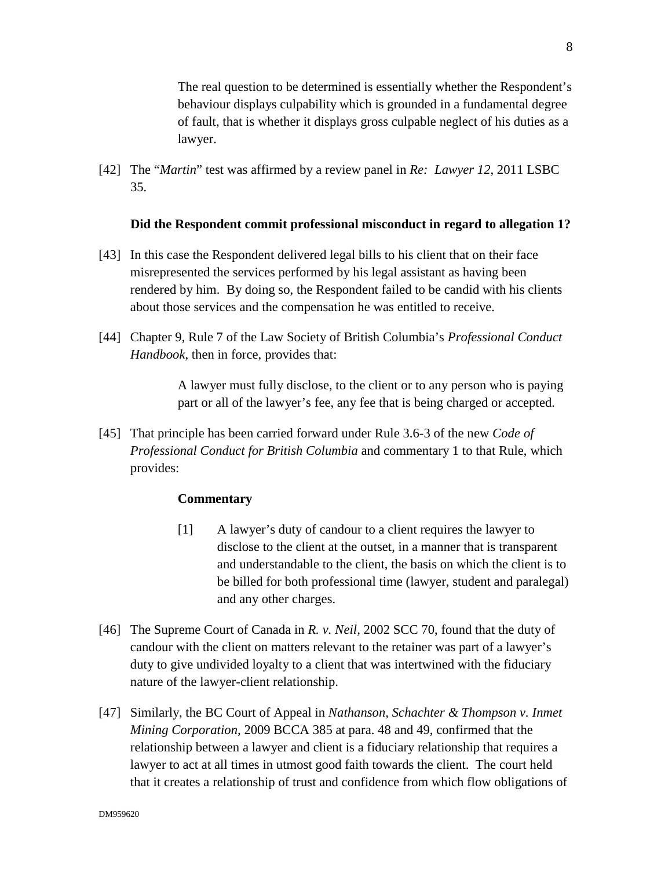The real question to be determined is essentially whether the Respondent's behaviour displays culpability which is grounded in a fundamental degree of fault, that is whether it displays gross culpable neglect of his duties as a lawyer.

[42] The "*Martin*" test was affirmed by a review panel in *Re: Lawyer 12*, 2011 LSBC 35.

### **Did the Respondent commit professional misconduct in regard to allegation 1?**

- [43] In this case the Respondent delivered legal bills to his client that on their face misrepresented the services performed by his legal assistant as having been rendered by him. By doing so, the Respondent failed to be candid with his clients about those services and the compensation he was entitled to receive.
- [44] Chapter 9, Rule 7 of the Law Society of British Columbia's *Professional Conduct Handbook*, then in force, provides that:

A lawyer must fully disclose, to the client or to any person who is paying part or all of the lawyer's fee, any fee that is being charged or accepted.

[45] That principle has been carried forward under Rule 3.6-3 of the new *Code of Professional Conduct for British Columbia* and commentary 1 to that Rule, which provides:

### **Commentary**

- [1] A lawyer's duty of candour to a client requires the lawyer to disclose to the client at the outset, in a manner that is transparent and understandable to the client, the basis on which the client is to be billed for both professional time (lawyer, student and paralegal) and any other charges.
- [46] The Supreme Court of Canada in *R. v. Neil,* 2002 SCC 70, found that the duty of candour with the client on matters relevant to the retainer was part of a lawyer's duty to give undivided loyalty to a client that was intertwined with the fiduciary nature of the lawyer-client relationship.
- [47] Similarly, the BC Court of Appeal in *Nathanson, Schachter & Thompson v. Inmet Mining Corporation,* 2009 BCCA 385 at para. 48 and 49, confirmed that the relationship between a lawyer and client is a fiduciary relationship that requires a lawyer to act at all times in utmost good faith towards the client. The court held that it creates a relationship of trust and confidence from which flow obligations of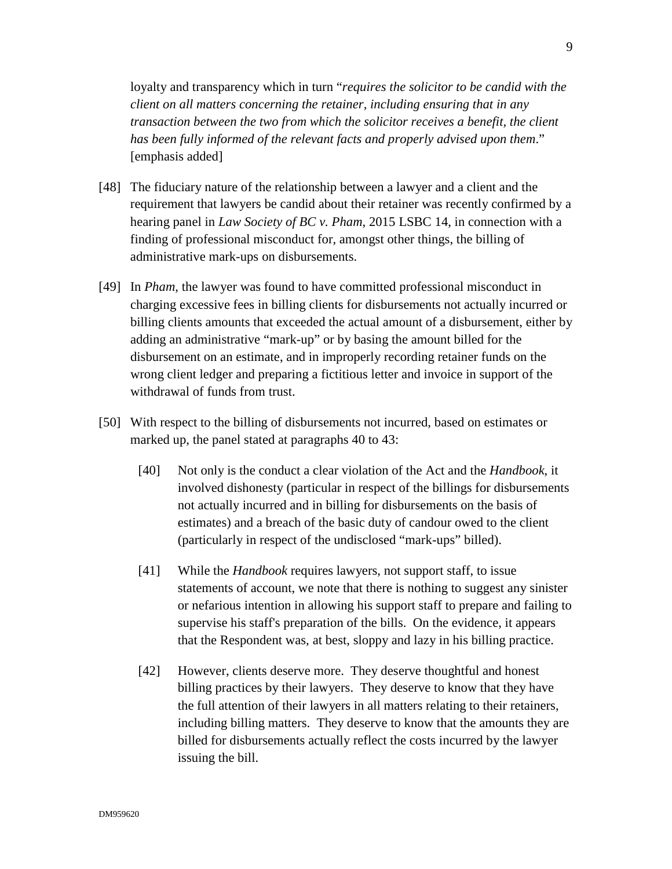loyalty and transparency which in turn "*requires the solicitor to be candid with the client on all matters concerning the retainer, including ensuring that in any transaction between the two from which the solicitor receives a benefit, the client has been fully informed of the relevant facts and properly advised upon them*." [emphasis added]

- [48] The fiduciary nature of the relationship between a lawyer and a client and the requirement that lawyers be candid about their retainer was recently confirmed by a hearing panel in *Law Society of BC v. Pham*, 2015 LSBC 14, in connection with a finding of professional misconduct for, amongst other things, the billing of administrative mark-ups on disbursements.
- [49] In *Pham*, the lawyer was found to have committed professional misconduct in charging excessive fees in billing clients for disbursements not actually incurred or billing clients amounts that exceeded the actual amount of a disbursement, either by adding an administrative "mark-up" or by basing the amount billed for the disbursement on an estimate, and in improperly recording retainer funds on the wrong client ledger and preparing a fictitious letter and invoice in support of the withdrawal of funds from trust.
- [50] With respect to the billing of disbursements not incurred, based on estimates or marked up, the panel stated at paragraphs 40 to 43:
	- [40] Not only is the conduct a clear violation of the Act and the *Handbook*, it involved dishonesty (particular in respect of the billings for disbursements not actually incurred and in billing for disbursements on the basis of estimates) and a breach of the basic duty of candour owed to the client (particularly in respect of the undisclosed "mark-ups" billed).
	- [41] While the *Handbook* requires lawyers, not support staff, to issue statements of account, we note that there is nothing to suggest any sinister or nefarious intention in allowing his support staff to prepare and failing to supervise his staff's preparation of the bills. On the evidence, it appears that the Respondent was, at best, sloppy and lazy in his billing practice.
	- [42] However, clients deserve more. They deserve thoughtful and honest billing practices by their lawyers. They deserve to know that they have the full attention of their lawyers in all matters relating to their retainers, including billing matters. They deserve to know that the amounts they are billed for disbursements actually reflect the costs incurred by the lawyer issuing the bill.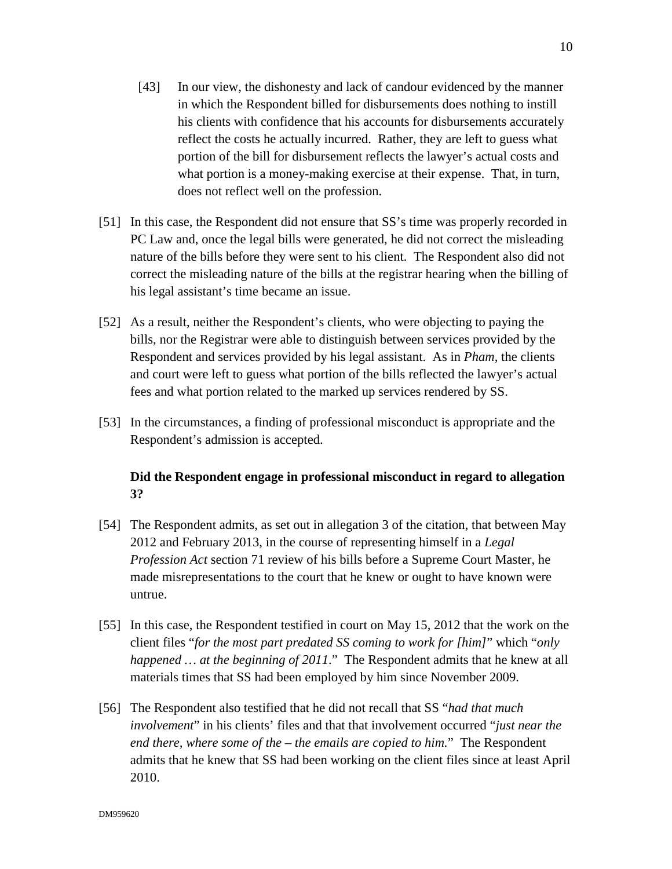- [43] In our view, the dishonesty and lack of candour evidenced by the manner in which the Respondent billed for disbursements does nothing to instill his clients with confidence that his accounts for disbursements accurately reflect the costs he actually incurred. Rather, they are left to guess what portion of the bill for disbursement reflects the lawyer's actual costs and what portion is a money-making exercise at their expense. That, in turn, does not reflect well on the profession.
- [51] In this case, the Respondent did not ensure that SS's time was properly recorded in PC Law and, once the legal bills were generated, he did not correct the misleading nature of the bills before they were sent to his client. The Respondent also did not correct the misleading nature of the bills at the registrar hearing when the billing of his legal assistant's time became an issue.
- [52] As a result, neither the Respondent's clients, who were objecting to paying the bills, nor the Registrar were able to distinguish between services provided by the Respondent and services provided by his legal assistant. As in *Pham*, the clients and court were left to guess what portion of the bills reflected the lawyer's actual fees and what portion related to the marked up services rendered by SS.
- [53] In the circumstances, a finding of professional misconduct is appropriate and the Respondent's admission is accepted.

# **Did the Respondent engage in professional misconduct in regard to allegation 3?**

- [54] The Respondent admits, as set out in allegation 3 of the citation, that between May 2012 and February 2013, in the course of representing himself in a *Legal Profession Act* section 71 review of his bills before a Supreme Court Master, he made misrepresentations to the court that he knew or ought to have known were untrue.
- [55] In this case, the Respondent testified in court on May 15, 2012 that the work on the client files "*for the most part predated SS coming to work for [him]*" which "*only happened … at the beginning of 2011*." The Respondent admits that he knew at all materials times that SS had been employed by him since November 2009.
- [56] The Respondent also testified that he did not recall that SS "*had that much involvement*" in his clients' files and that that involvement occurred "*just near the end there, where some of the – the emails are copied to him.*" The Respondent admits that he knew that SS had been working on the client files since at least April 2010.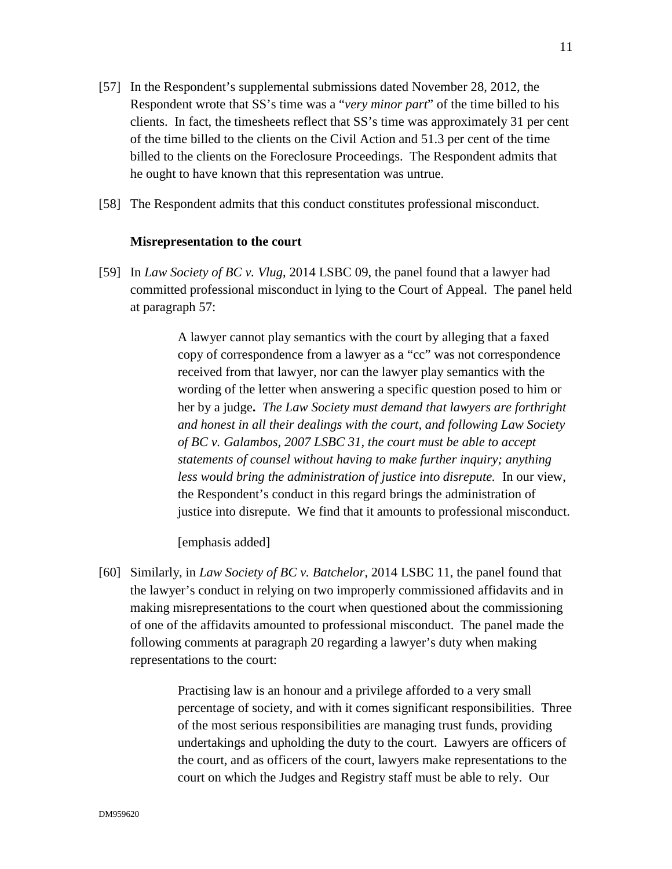- [57] In the Respondent's supplemental submissions dated November 28, 2012, the Respondent wrote that SS's time was a "*very minor part*" of the time billed to his clients. In fact, the timesheets reflect that SS's time was approximately 31 per cent of the time billed to the clients on the Civil Action and 51.3 per cent of the time billed to the clients on the Foreclosure Proceedings. The Respondent admits that he ought to have known that this representation was untrue.
- [58] The Respondent admits that this conduct constitutes professional misconduct.

### **Misrepresentation to the court**

[59] In *Law Society of BC v. Vlug*, 2014 LSBC 09, the panel found that a lawyer had committed professional misconduct in lying to the Court of Appeal. The panel held at paragraph 57:

> A lawyer cannot play semantics with the court by alleging that a faxed copy of correspondence from a lawyer as a "cc" was not correspondence received from that lawyer, nor can the lawyer play semantics with the wording of the letter when answering a specific question posed to him or her by a judge**.** *The Law Society must demand that lawyers are forthright and honest in all their dealings with the court, and following Law Society of BC v. Galambos, 2007 LSBC 31, the court must be able to accept statements of counsel without having to make further inquiry; anything less would bring the administration of justice into disrepute.* In our view, the Respondent's conduct in this regard brings the administration of justice into disrepute. We find that it amounts to professional misconduct.

[emphasis added]

[60] Similarly, in *Law Society of BC v. Batchelor*, 2014 LSBC 11, the panel found that the lawyer's conduct in relying on two improperly commissioned affidavits and in making misrepresentations to the court when questioned about the commissioning of one of the affidavits amounted to professional misconduct. The panel made the following comments at paragraph 20 regarding a lawyer's duty when making representations to the court:

> Practising law is an honour and a privilege afforded to a very small percentage of society, and with it comes significant responsibilities. Three of the most serious responsibilities are managing trust funds, providing undertakings and upholding the duty to the court. Lawyers are officers of the court, and as officers of the court, lawyers make representations to the court on which the Judges and Registry staff must be able to rely. Our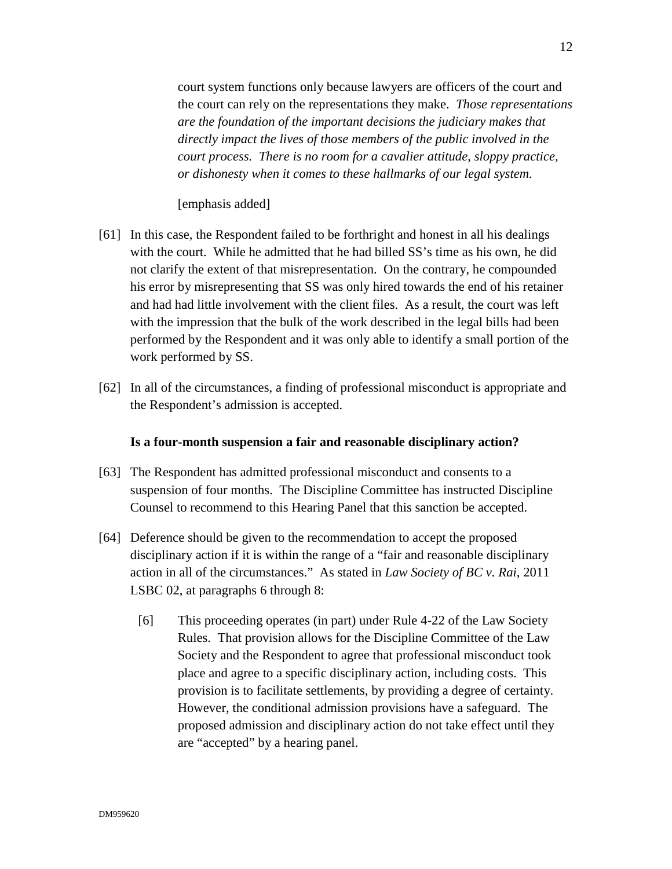court system functions only because lawyers are officers of the court and the court can rely on the representations they make. *Those representations are the foundation of the important decisions the judiciary makes that directly impact the lives of those members of the public involved in the court process. There is no room for a cavalier attitude, sloppy practice, or dishonesty when it comes to these hallmarks of our legal system.* 

### [emphasis added]

- [61] In this case, the Respondent failed to be forthright and honest in all his dealings with the court. While he admitted that he had billed SS's time as his own, he did not clarify the extent of that misrepresentation. On the contrary, he compounded his error by misrepresenting that SS was only hired towards the end of his retainer and had had little involvement with the client files. As a result, the court was left with the impression that the bulk of the work described in the legal bills had been performed by the Respondent and it was only able to identify a small portion of the work performed by SS.
- [62] In all of the circumstances, a finding of professional misconduct is appropriate and the Respondent's admission is accepted.

#### **Is a four-month suspension a fair and reasonable disciplinary action?**

- [63] The Respondent has admitted professional misconduct and consents to a suspension of four months. The Discipline Committee has instructed Discipline Counsel to recommend to this Hearing Panel that this sanction be accepted.
- [64] Deference should be given to the recommendation to accept the proposed disciplinary action if it is within the range of a "fair and reasonable disciplinary action in all of the circumstances." As stated in *Law Society of BC v. Rai*, 2011 LSBC 02, at paragraphs 6 through 8:
	- [6] This proceeding operates (in part) under Rule 4-22 of the Law Society Rules. That provision allows for the Discipline Committee of the Law Society and the Respondent to agree that professional misconduct took place and agree to a specific disciplinary action, including costs. This provision is to facilitate settlements, by providing a degree of certainty. However, the conditional admission provisions have a safeguard. The proposed admission and disciplinary action do not take effect until they are "accepted" by a hearing panel.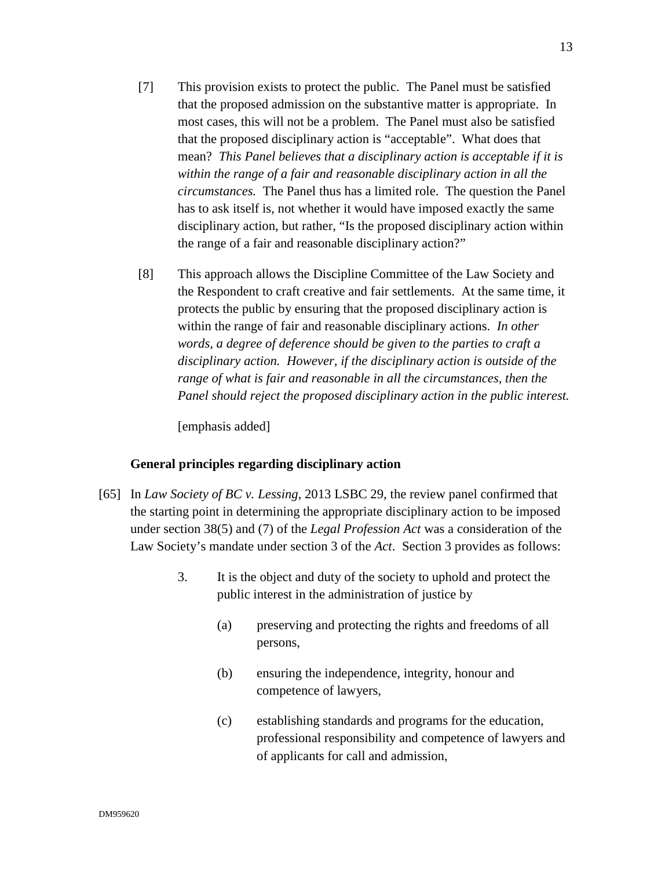- [7] This provision exists to protect the public. The Panel must be satisfied that the proposed admission on the substantive matter is appropriate. In most cases, this will not be a problem. The Panel must also be satisfied that the proposed disciplinary action is "acceptable". What does that mean? *This Panel believes that a disciplinary action is acceptable if it is within the range of a fair and reasonable disciplinary action in all the circumstances.* The Panel thus has a limited role. The question the Panel has to ask itself is, not whether it would have imposed exactly the same disciplinary action, but rather, "Is the proposed disciplinary action within the range of a fair and reasonable disciplinary action?"
- [8] This approach allows the Discipline Committee of the Law Society and the Respondent to craft creative and fair settlements. At the same time, it protects the public by ensuring that the proposed disciplinary action is within the range of fair and reasonable disciplinary actions. *In other words, a degree of deference should be given to the parties to craft a disciplinary action. However, if the disciplinary action is outside of the range of what is fair and reasonable in all the circumstances, then the Panel should reject the proposed disciplinary action in the public interest.*

[emphasis added]

### **General principles regarding disciplinary action**

- [65] In *Law Society of BC v. Lessing*, 2013 LSBC 29, the review panel confirmed that the starting point in determining the appropriate disciplinary action to be imposed under section 38(5) and (7) of the *Legal Profession Act* was a consideration of the Law Society's mandate under section 3 of the *Act*. Section 3 provides as follows:
	- 3. It is the object and duty of the society to uphold and protect the public interest in the administration of justice by
		- (a) preserving and protecting the rights and freedoms of all persons,
		- (b) ensuring the independence, integrity, honour and competence of lawyers,
		- (c) establishing standards and programs for the education, professional responsibility and competence of lawyers and of applicants for call and admission,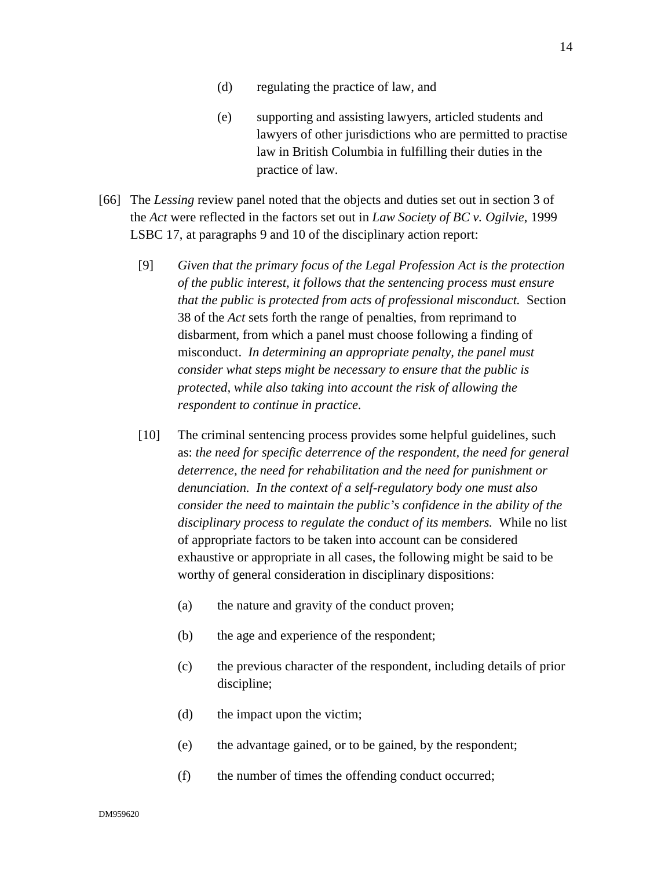- (d) regulating the practice of law, and
- (e) supporting and assisting lawyers, articled students and lawyers of other jurisdictions who are permitted to practise law in British Columbia in fulfilling their duties in the practice of law.
- [66] The *Lessing* review panel noted that the objects and duties set out in section 3 of the *Act* were reflected in the factors set out in *Law Society of BC v. Ogilvie*, 1999 LSBC 17, at paragraphs 9 and 10 of the disciplinary action report:
	- [9] *Given that the primary focus of the Legal Profession Act is the protection of the public interest, it follows that the sentencing process must ensure that the public is protected from acts of professional misconduct.* Section 38 of the *Act* sets forth the range of penalties, from reprimand to disbarment, from which a panel must choose following a finding of misconduct. *In determining an appropriate penalty, the panel must consider what steps might be necessary to ensure that the public is protected, while also taking into account the risk of allowing the respondent to continue in practice.*
	- [10] The criminal sentencing process provides some helpful guidelines, such as: *the need for specific deterrence of the respondent, the need for general deterrence, the need for rehabilitation and the need for punishment or denunciation. In the context of a self-regulatory body one must also consider the need to maintain the public's confidence in the ability of the disciplinary process to regulate the conduct of its members.* While no list of appropriate factors to be taken into account can be considered exhaustive or appropriate in all cases, the following might be said to be worthy of general consideration in disciplinary dispositions:
		- (a) the nature and gravity of the conduct proven;
		- (b) the age and experience of the respondent;
		- (c) the previous character of the respondent, including details of prior discipline;
		- (d) the impact upon the victim;
		- (e) the advantage gained, or to be gained, by the respondent;
		- (f) the number of times the offending conduct occurred;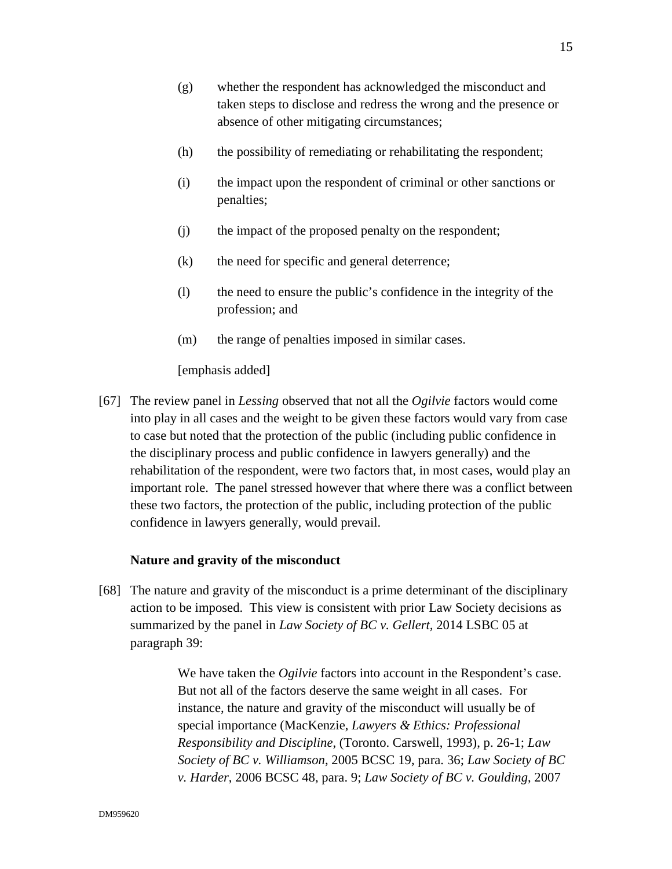- (g) whether the respondent has acknowledged the misconduct and taken steps to disclose and redress the wrong and the presence or absence of other mitigating circumstances;
- (h) the possibility of remediating or rehabilitating the respondent;
- (i) the impact upon the respondent of criminal or other sanctions or penalties;
- (j) the impact of the proposed penalty on the respondent;
- (k) the need for specific and general deterrence;
- (l) the need to ensure the public's confidence in the integrity of the profession; and
- (m) the range of penalties imposed in similar cases.

[emphasis added]

[67] The review panel in *Lessing* observed that not all the *Ogilvie* factors would come into play in all cases and the weight to be given these factors would vary from case to case but noted that the protection of the public (including public confidence in the disciplinary process and public confidence in lawyers generally) and the rehabilitation of the respondent, were two factors that, in most cases, would play an important role. The panel stressed however that where there was a conflict between these two factors, the protection of the public, including protection of the public confidence in lawyers generally, would prevail.

#### **Nature and gravity of the misconduct**

[68] The nature and gravity of the misconduct is a prime determinant of the disciplinary action to be imposed. This view is consistent with prior Law Society decisions as summarized by the panel in *Law Society of BC v. Gellert,* 2014 LSBC 05 at paragraph 39:

> We have taken the *Ogilvie* factors into account in the Respondent's case. But not all of the factors deserve the same weight in all cases. For instance, the nature and gravity of the misconduct will usually be of special importance (MacKenzie, *Lawyers & Ethics: Professional Responsibility and Discipline*, (Toronto. Carswell, 1993), p. 26-1; *Law Society of BC v. Williamson*, 2005 BCSC 19, para. 36; *Law Society of BC v. Harder*, 2006 BCSC 48, para. 9; *Law Society of BC v. Goulding*, 2007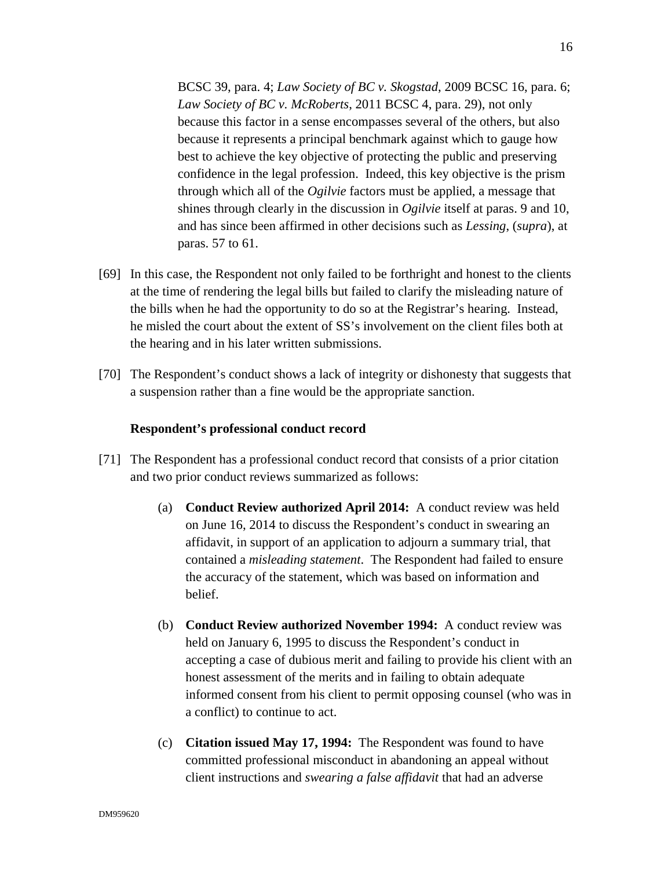BCSC 39, para. 4; *Law Society of BC v. Skogstad*, 2009 BCSC 16, para. 6; *Law Society of BC v. McRoberts*, 2011 BCSC 4, para. 29), not only because this factor in a sense encompasses several of the others, but also because it represents a principal benchmark against which to gauge how best to achieve the key objective of protecting the public and preserving confidence in the legal profession. Indeed, this key objective is the prism through which all of the *Ogilvie* factors must be applied, a message that shines through clearly in the discussion in *Ogilvie* itself at paras. 9 and 10, and has since been affirmed in other decisions such as *Lessing*, (*supra*), at paras. 57 to 61.

- [69] In this case, the Respondent not only failed to be forthright and honest to the clients at the time of rendering the legal bills but failed to clarify the misleading nature of the bills when he had the opportunity to do so at the Registrar's hearing. Instead, he misled the court about the extent of SS's involvement on the client files both at the hearing and in his later written submissions.
- [70] The Respondent's conduct shows a lack of integrity or dishonesty that suggests that a suspension rather than a fine would be the appropriate sanction.

### **Respondent's professional conduct record**

- [71] The Respondent has a professional conduct record that consists of a prior citation and two prior conduct reviews summarized as follows:
	- (a) **Conduct Review authorized April 2014:** A conduct review was held on June 16, 2014 to discuss the Respondent's conduct in swearing an affidavit, in support of an application to adjourn a summary trial, that contained a *misleading statement*. The Respondent had failed to ensure the accuracy of the statement, which was based on information and belief.
	- (b) **Conduct Review authorized November 1994:** A conduct review was held on January 6, 1995 to discuss the Respondent's conduct in accepting a case of dubious merit and failing to provide his client with an honest assessment of the merits and in failing to obtain adequate informed consent from his client to permit opposing counsel (who was in a conflict) to continue to act.
	- (c) **Citation issued May 17, 1994:** The Respondent was found to have committed professional misconduct in abandoning an appeal without client instructions and *swearing a false affidavit* that had an adverse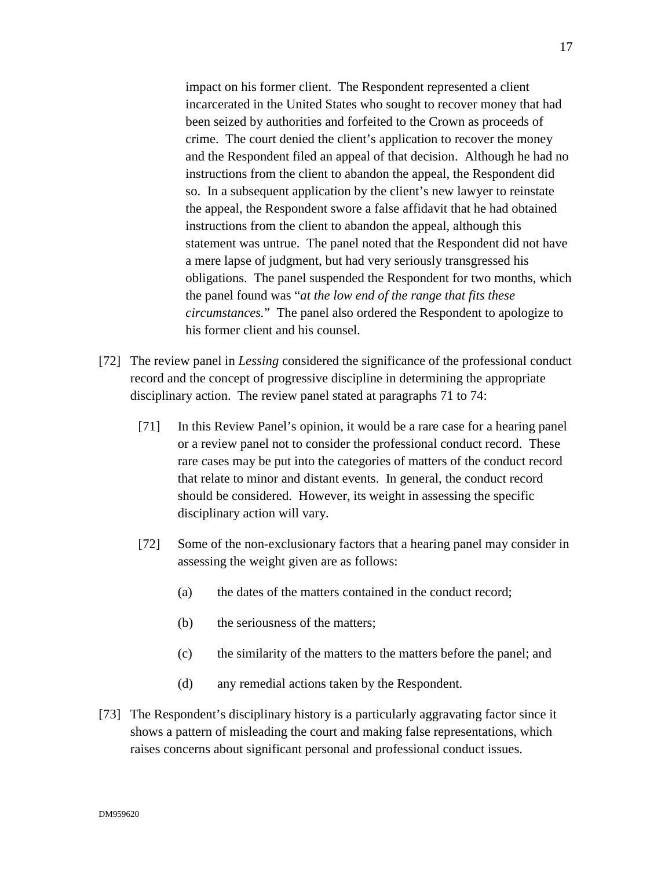impact on his former client. The Respondent represented a client incarcerated in the United States who sought to recover money that had been seized by authorities and forfeited to the Crown as proceeds of crime. The court denied the client's application to recover the money and the Respondent filed an appeal of that decision. Although he had no instructions from the client to abandon the appeal, the Respondent did so. In a subsequent application by the client's new lawyer to reinstate the appeal, the Respondent swore a false affidavit that he had obtained instructions from the client to abandon the appeal, although this statement was untrue. The panel noted that the Respondent did not have a mere lapse of judgment, but had very seriously transgressed his obligations. The panel suspended the Respondent for two months, which the panel found was "*at the low end of the range that fits these circumstances.*" The panel also ordered the Respondent to apologize to his former client and his counsel.

- [72] The review panel in *Lessing* considered the significance of the professional conduct record and the concept of progressive discipline in determining the appropriate disciplinary action. The review panel stated at paragraphs 71 to 74:
	- [71] In this Review Panel's opinion, it would be a rare case for a hearing panel or a review panel not to consider the professional conduct record. These rare cases may be put into the categories of matters of the conduct record that relate to minor and distant events. In general, the conduct record should be considered. However, its weight in assessing the specific disciplinary action will vary.
	- [72] Some of the non-exclusionary factors that a hearing panel may consider in assessing the weight given are as follows:
		- (a) the dates of the matters contained in the conduct record;
		- (b) the seriousness of the matters;
		- (c) the similarity of the matters to the matters before the panel; and
		- (d) any remedial actions taken by the Respondent.
- [73] The Respondent's disciplinary history is a particularly aggravating factor since it shows a pattern of misleading the court and making false representations, which raises concerns about significant personal and professional conduct issues.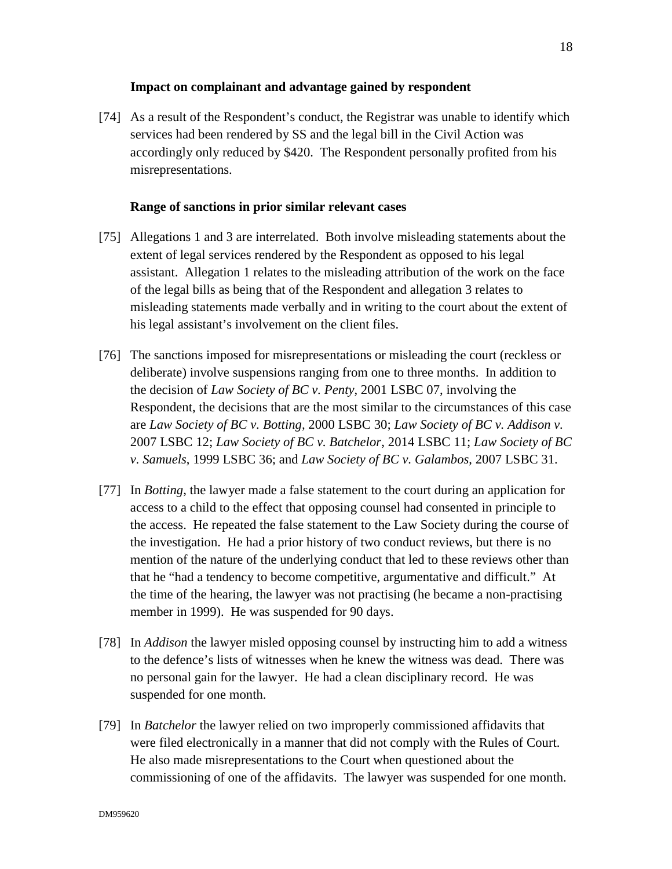### **Impact on complainant and advantage gained by respondent**

[74] As a result of the Respondent's conduct, the Registrar was unable to identify which services had been rendered by SS and the legal bill in the Civil Action was accordingly only reduced by \$420. The Respondent personally profited from his misrepresentations.

### **Range of sanctions in prior similar relevant cases**

- [75] Allegations 1 and 3 are interrelated. Both involve misleading statements about the extent of legal services rendered by the Respondent as opposed to his legal assistant. Allegation 1 relates to the misleading attribution of the work on the face of the legal bills as being that of the Respondent and allegation 3 relates to misleading statements made verbally and in writing to the court about the extent of his legal assistant's involvement on the client files.
- [76] The sanctions imposed for misrepresentations or misleading the court (reckless or deliberate) involve suspensions ranging from one to three months. In addition to the decision of *Law Society of BC v. Penty*, 2001 LSBC 07, involving the Respondent, the decisions that are the most similar to the circumstances of this case are *Law Society of BC v. Botting,* 2000 LSBC 30; *Law Society of BC v. Addison v.*  2007 LSBC 12; *Law Society of BC v. Batchelor*, 2014 LSBC 11; *Law Society of BC v. Samuels*, 1999 LSBC 36; and *Law Society of BC v. Galambos*, 2007 LSBC 31.
- [77] In *Botting*, the lawyer made a false statement to the court during an application for access to a child to the effect that opposing counsel had consented in principle to the access. He repeated the false statement to the Law Society during the course of the investigation. He had a prior history of two conduct reviews, but there is no mention of the nature of the underlying conduct that led to these reviews other than that he "had a tendency to become competitive, argumentative and difficult." At the time of the hearing, the lawyer was not practising (he became a non-practising member in 1999). He was suspended for 90 days.
- [78] In *Addison* the lawyer misled opposing counsel by instructing him to add a witness to the defence's lists of witnesses when he knew the witness was dead. There was no personal gain for the lawyer. He had a clean disciplinary record. He was suspended for one month.
- [79] In *Batchelor* the lawyer relied on two improperly commissioned affidavits that were filed electronically in a manner that did not comply with the Rules of Court. He also made misrepresentations to the Court when questioned about the commissioning of one of the affidavits. The lawyer was suspended for one month.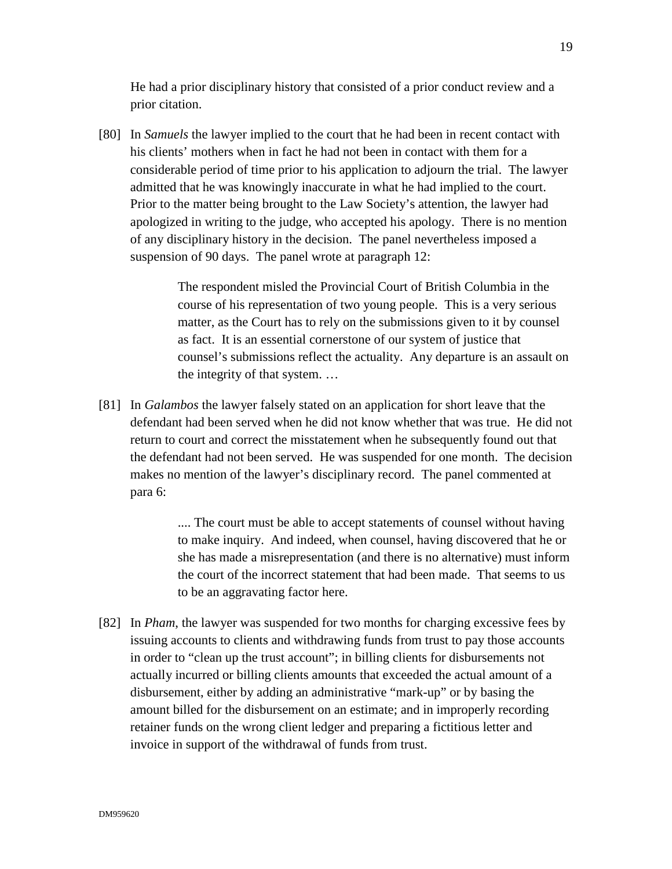He had a prior disciplinary history that consisted of a prior conduct review and a prior citation.

[80] In *Samuels* the lawyer implied to the court that he had been in recent contact with his clients' mothers when in fact he had not been in contact with them for a considerable period of time prior to his application to adjourn the trial. The lawyer admitted that he was knowingly inaccurate in what he had implied to the court. Prior to the matter being brought to the Law Society's attention, the lawyer had apologized in writing to the judge, who accepted his apology. There is no mention of any disciplinary history in the decision. The panel nevertheless imposed a suspension of 90 days. The panel wrote at paragraph 12:

> The respondent misled the Provincial Court of British Columbia in the course of his representation of two young people. This is a very serious matter, as the Court has to rely on the submissions given to it by counsel as fact. It is an essential cornerstone of our system of justice that counsel's submissions reflect the actuality. Any departure is an assault on the integrity of that system. …

[81] In *Galambos* the lawyer falsely stated on an application for short leave that the defendant had been served when he did not know whether that was true. He did not return to court and correct the misstatement when he subsequently found out that the defendant had not been served. He was suspended for one month. The decision makes no mention of the lawyer's disciplinary record. The panel commented at para 6:

> .... The court must be able to accept statements of counsel without having to make inquiry. And indeed, when counsel, having discovered that he or she has made a misrepresentation (and there is no alternative) must inform the court of the incorrect statement that had been made. That seems to us to be an aggravating factor here.

[82] In *Pham*, the lawyer was suspended for two months for charging excessive fees by issuing accounts to clients and withdrawing funds from trust to pay those accounts in order to "clean up the trust account"; in billing clients for disbursements not actually incurred or billing clients amounts that exceeded the actual amount of a disbursement, either by adding an administrative "mark-up" or by basing the amount billed for the disbursement on an estimate; and in improperly recording retainer funds on the wrong client ledger and preparing a fictitious letter and invoice in support of the withdrawal of funds from trust.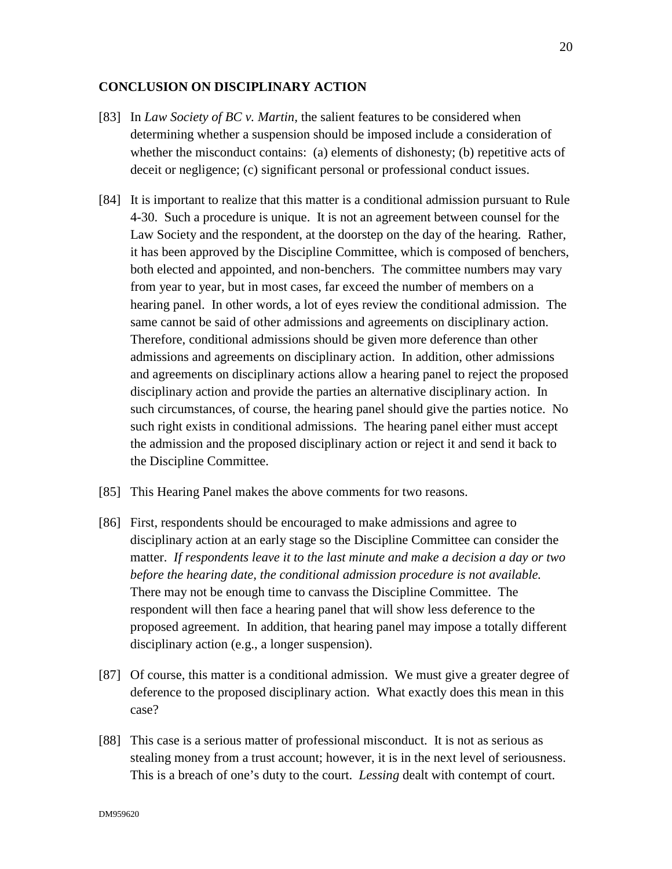### **CONCLUSION ON DISCIPLINARY ACTION**

- [83] In *Law Society of BC v. Martin,* the salient features to be considered when determining whether a suspension should be imposed include a consideration of whether the misconduct contains: (a) elements of dishonesty; (b) repetitive acts of deceit or negligence; (c) significant personal or professional conduct issues.
- [84] It is important to realize that this matter is a conditional admission pursuant to Rule 4-30. Such a procedure is unique. It is not an agreement between counsel for the Law Society and the respondent, at the doorstep on the day of the hearing. Rather, it has been approved by the Discipline Committee, which is composed of benchers, both elected and appointed, and non-benchers. The committee numbers may vary from year to year, but in most cases, far exceed the number of members on a hearing panel. In other words, a lot of eyes review the conditional admission. The same cannot be said of other admissions and agreements on disciplinary action. Therefore, conditional admissions should be given more deference than other admissions and agreements on disciplinary action. In addition, other admissions and agreements on disciplinary actions allow a hearing panel to reject the proposed disciplinary action and provide the parties an alternative disciplinary action. In such circumstances, of course, the hearing panel should give the parties notice. No such right exists in conditional admissions. The hearing panel either must accept the admission and the proposed disciplinary action or reject it and send it back to the Discipline Committee.
- [85] This Hearing Panel makes the above comments for two reasons.
- [86] First, respondents should be encouraged to make admissions and agree to disciplinary action at an early stage so the Discipline Committee can consider the matter. *If respondents leave it to the last minute and make a decision a day or two before the hearing date, the conditional admission procedure is not available.* There may not be enough time to canvass the Discipline Committee. The respondent will then face a hearing panel that will show less deference to the proposed agreement. In addition, that hearing panel may impose a totally different disciplinary action (e.g., a longer suspension).
- [87] Of course, this matter is a conditional admission. We must give a greater degree of deference to the proposed disciplinary action. What exactly does this mean in this case?
- [88] This case is a serious matter of professional misconduct. It is not as serious as stealing money from a trust account; however, it is in the next level of seriousness. This is a breach of one's duty to the court. *Lessing* dealt with contempt of court.